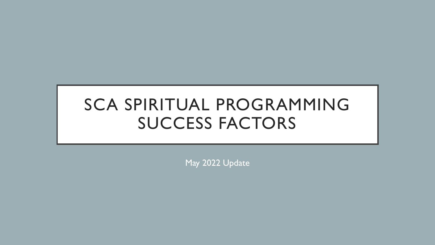# SCA SPIRITUAL PROGRAMMING SUCCESS FACTORS

May 2022 Update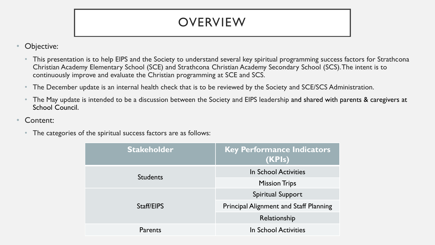# **OVERVIEW**

- Objective:
	- This presentation is to help EIPS and the Society to understand several key spiritual programming success factors for Strathcona Christian Academy Elementary School (SCE) and Strathcona Christian Academy Secondary School (SCS). The intent is to continuously improve and evaluate the Christian programming at SCE and SCS.
	- The December update is an internal health check that is to be reviewed by the Society and SCE/SCS Administration.
	- The May update is intended to be a discussion between the Society and EIPS leadership and shared with parents & caregivers at School Council.
- Content:
	- The categories of the spiritual success factors are as follows:

| <b>Stakeholder</b> | <b>Key Performance Indicators</b><br>(KPIs)   |  |  |  |
|--------------------|-----------------------------------------------|--|--|--|
| <b>Students</b>    | In School Activities                          |  |  |  |
|                    | <b>Mission Trips</b>                          |  |  |  |
|                    | Spiritual Support                             |  |  |  |
| Staff/EIPS         | <b>Principal Alignment and Staff Planning</b> |  |  |  |
|                    | Relationship                                  |  |  |  |
| Parents            | In School Activities                          |  |  |  |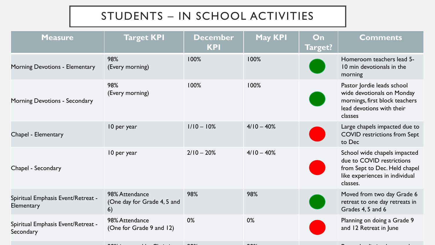## STUDENTS – IN SCHOOL ACTIVITIES

| <b>Measure</b>                                   | <b>Target KPI</b>                                   | <b>December</b><br><b>KPI</b> | <b>May KPI</b> | On<br>Target? | <b>Comments</b>                                                                                                                          |
|--------------------------------------------------|-----------------------------------------------------|-------------------------------|----------------|---------------|------------------------------------------------------------------------------------------------------------------------------------------|
| Morning Devotions - Elementary                   | 98%<br>(Every morning)                              | 100%                          | 100%           |               | Homeroom teachers lead 5-<br>10 min devotionals in the<br>morning                                                                        |
| <b>Morning Devotions - Secondary</b>             | 98%<br>(Every morning)                              | 100%                          | 100%           |               | Pastor Jordie leads school<br>wide devotionals on Monday<br>mornings, first block teachers<br>lead devotions with their<br>classes       |
| Chapel - Elementary                              | 10 per year                                         | $1/10 - 10%$                  | $4/10 - 40%$   |               | Large chapels impacted due to<br><b>COVID</b> restrictions from Sept<br>to Dec                                                           |
| Chapel - Secondary                               | 10 per year                                         | $2/10 - 20%$                  | $4/10 - 40%$   |               | School wide chapels impacted<br>due to COVID restrictions<br>from Sept to Dec. Held chapel<br>like experiences in individual<br>classes. |
| Spiritual Emphasis Event/Retreat -<br>Elementary | 98% Attendance<br>(One day for Grade 4, 5 and<br>6) | 98%                           | 98%            |               | Moved from two day Grade 6<br>retreat to one day retreats in<br>Grades 4, 5 and 6                                                        |
| Spiritual Emphasis Event/Retreat -<br>Secondary  | 98% Attendance<br>(One for Grade 9 and 12)          | 0%                            | 0%             |               | Planning on doing a Grade 9<br>and 12 Retreat in June                                                                                    |
|                                                  |                                                     |                               |                |               |                                                                                                                                          |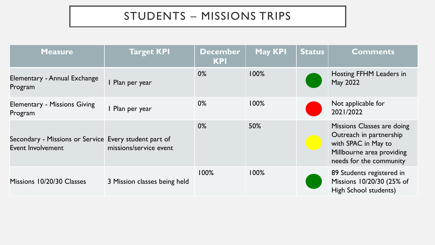## STUDENTS – MISSIONS TRIPS

| <b>Measure</b>                                                             | Target KPI                   | <b>December</b><br><b>KPI</b> | <b>May KPI</b> | <b>Status</b> | <b>Comments</b>                                                                                                                      |
|----------------------------------------------------------------------------|------------------------------|-------------------------------|----------------|---------------|--------------------------------------------------------------------------------------------------------------------------------------|
| Elementary - Annual Exchange<br>Program                                    | I Plan per year              | $0\%$                         | 100%           |               | Hosting FFHM Leaders in<br>May 2022                                                                                                  |
| <b>Elementary - Missions Giving</b><br>Program                             | I Plan per year              | $0\%$                         | 100%           |               | Not applicable for<br>2021/2022                                                                                                      |
| Secondary - Missions or Service Every student part of<br>Event Involvement | missions/service event       | $0\%$                         | 50%            |               | Missions Classes are doing<br>Outreach in partnership<br>with SPAC in May to<br>Millbourne area providing<br>needs for the community |
| Missions 10/20/30 Classes                                                  | 3 Mission classes being held | 100%                          | 100%           |               | 89 Students registered in<br>Missions 10/20/30 (25% of<br>High School students)                                                      |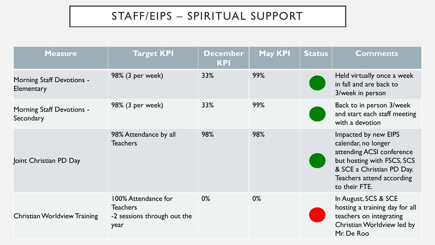## STAFF/EIPS – SPIRITUAL SUPPORT

| <b>Measure</b>                                        | <b>Target KPI</b>                                                             | <b>December</b><br><b>KPI</b> | <b>May KPI</b> | <b>Status</b> | <b>Comments</b>                                                                                                                                                                   |
|-------------------------------------------------------|-------------------------------------------------------------------------------|-------------------------------|----------------|---------------|-----------------------------------------------------------------------------------------------------------------------------------------------------------------------------------|
| <b>Morning Staff Devotions -</b><br><b>Elementary</b> | 98% (3 per week)                                                              | 33%                           | 99%            |               | Held virtually once a week<br>in fall and are back to<br>3/week in person                                                                                                         |
| <b>Morning Staff Devotions -</b><br>Secondary         | 98% (3 per week)                                                              | 33%                           | 99%            |               | Back to in person 3/week<br>and start each staff meeting<br>with a devotion                                                                                                       |
| Joint Christian PD Day                                | 98% Attendance by all<br><b>Teachers</b>                                      | 98%                           | 98%            |               | Impacted by new EIPS<br>calendar, no longer<br>attending ACSI conference<br>but hosting with FSCS, SCS<br>& SCE a Christian PD Day.<br>Teachers attend according<br>to their FTE. |
| <b>Christian Worldview Training</b>                   | 100% Attendance for<br><b>Teachers</b><br>-2 sessions through out the<br>year | $0\%$                         | 0%             |               | In August, SCS & SCE<br>hosting a training day for all<br>teachers on integrating<br>Christian Worldview led by<br>Mr. De Roo                                                     |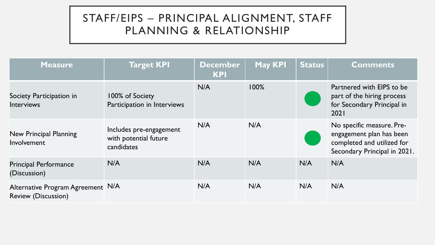### STAFF/EIPS – PRINCIPAL ALIGNMENT, STAFF PLANNING & RELATIONSHIP

| <b>Measure</b>                                                  | <b>Target KPI</b>                                              | <b>December</b><br><b>KPI</b> | <b>May KPI</b> | <b>Status</b> | <b>Comments</b>                                                                                                     |
|-----------------------------------------------------------------|----------------------------------------------------------------|-------------------------------|----------------|---------------|---------------------------------------------------------------------------------------------------------------------|
| Society Participation in<br><b>Interviews</b>                   | 100% of Society<br>Participation in Interviews                 | N/A                           | 100%           |               | Partnered with EIPS to be<br>part of the hiring process<br>for Secondary Principal in<br>2021                       |
| New Principal Planning<br>Involvement                           | Includes pre-engagement<br>with potential future<br>candidates | N/A                           | N/A            |               | No specific measure. Pre-<br>engagement plan has been<br>completed and utilized for<br>Secondary Principal in 2021. |
| <b>Principal Performance</b><br>(Discussion)                    | N/A                                                            | N/A                           | N/A            | N/A           | N/A                                                                                                                 |
| Alternative Program Agreement N/A<br><b>Review (Discussion)</b> |                                                                | N/A                           | N/A            | N/A           | N/A                                                                                                                 |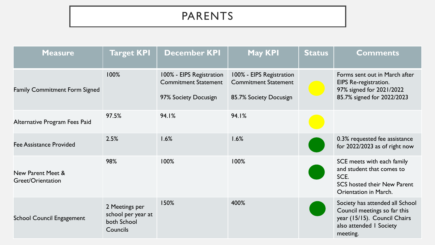### PARENTS

| <b>Measure</b>                         | Target KPI                                                      | <b>December KPI</b>                                                             | <b>May KPI</b>                                                                    | <b>Status</b> | <b>Comments</b>                                                                                                                        |
|----------------------------------------|-----------------------------------------------------------------|---------------------------------------------------------------------------------|-----------------------------------------------------------------------------------|---------------|----------------------------------------------------------------------------------------------------------------------------------------|
| <b>Family Commitment Form Signed</b>   | 100%                                                            | 100% - EIPS Registration<br><b>Commitment Statement</b><br>97% Society Docusign | 100% - EIPS Registration<br><b>Commitment Statement</b><br>85.7% Society Docusign |               | Forms sent out in March after<br>EIPS Re-registration.<br>97% signed for 2021/2022<br>85.7% signed for 2022/2023                       |
| Alternative Program Fees Paid          | 97.5%                                                           | 94.1%                                                                           | 94.1%                                                                             |               |                                                                                                                                        |
| <b>Fee Assistance Provided</b>         | 2.5%                                                            | 1.6%                                                                            | 1.6%                                                                              |               | 0.3% requested fee assistance<br>for 2022/2023 as of right now                                                                         |
| New Parent Meet &<br>Greet/Orientation | 98%                                                             | 100%                                                                            | 100%                                                                              |               | SCE meets with each family<br>and student that comes to<br>SCE.<br><b>SCS hosted their New Parent</b><br><b>Orientation in March.</b>  |
| <b>School Council Engagement</b>       | 2 Meetings per<br>school per year at<br>both School<br>Councils | 150%                                                                            | 400%                                                                              |               | Society has attended all School<br>Council meetings so far this<br>year (15/15). Council Chairs<br>also attended I Society<br>meeting. |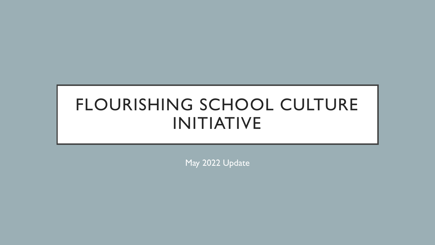# FLOURISHING SCHOOL CULTURE INITIATIVE

May 2022 Update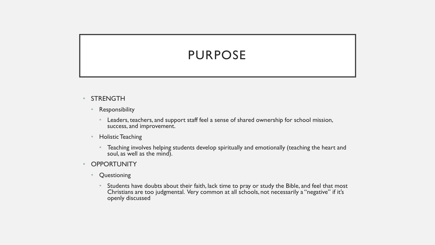# PURPOSE

- STRENGTH
	- Responsibility
		- Leaders, teachers, and support staff feel a sense of shared ownership for school mission, success, and improvement.
	- Holistic Teaching
		- Teaching involves helping students develop spiritually and emotionally (teaching the heart and soul, as well as the mind).
- **OPPORTUNITY** 
	- Questioning
		- Students have doubts about their faith, lack time to pray or study the Bible, and feel that most Christians are too judgmental. Very common at all schools, not necessarily a "negative" if it's openly discussed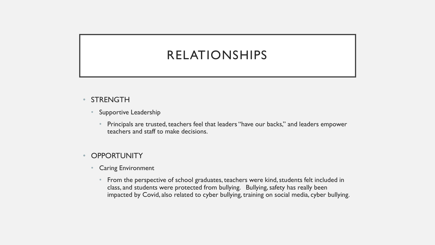# RELATIONSHIPS

- STRENGTH
	- Supportive Leadership
		- Principals are trusted, teachers feel that leaders "have our backs," and leaders empower teachers and staff to make decisions.

#### **OPPORTUNITY**

- Caring Environment
	- From the perspective of school graduates, teachers were kind, students felt included in class, and students were protected from bullying. Bullying, safety has really been impacted by Covid, also related to cyber bullying, training on social media, cyber bullying.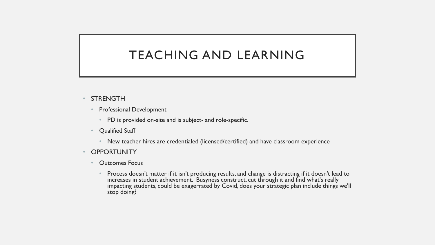## TEACHING AND LEARNING

- **STRENGTH** 
	- Professional Development
		- PD is provided on-site and is subject- and role-specific.
	- Qualified Staff
		- New teacher hires are credentialed (licensed/certified) and have classroom experience
- **OPPORTUNITY** 
	- Outcomes Focus
		- Process doesn't matter if it isn't producing results, and change is distracting if it doesn't lead to increases in student achievement. Busyness construct, cut through it and find what's really impacting students, could be exagerrated by Covid, does your strategic plan include things we'll stop doing?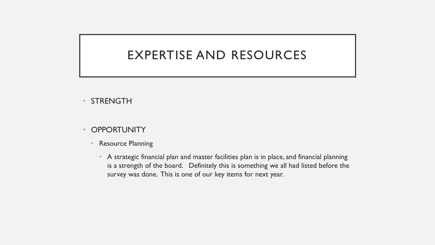## EXPERTISE AND RESOURCES

- STRENGTH
- **OPPORTUNITY** 
	- Resource Planning
		- A strategic financial plan and master facilities plan is in place, and financial planning is a strength of the board. Definitely this is something we all had listed before the survey was done. This is one of our key items for next year.